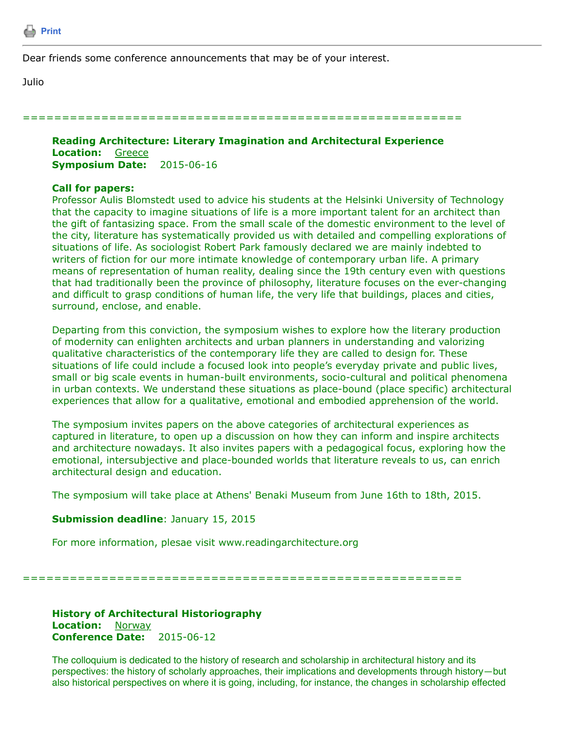

Dear friends some conference announcements that may be of your interest.

Julio

========================================================

## **Reading Architecture: Literary Imagination and Architectural Experience Location:** Greece **Symposium Date:** 2015-06-16

## **Call for papers:**

Professor Aulis Blomstedt used to advice his students at the Helsinki University of Technology that the capacity to imagine situations of life is a more important talent for an architect than the gift of fantasizing space. From the small scale of the domestic environment to the level of the city, literature has systematically provided us with detailed and compelling explorations of situations of life. As sociologist Robert Park famously declared we are mainly indebted to writers of fiction for our more intimate knowledge of contemporary urban life. A primary means of representation of human reality, dealing since the 19th century even with questions that had traditionally been the province of philosophy, literature focuses on the ever-changing and difficult to grasp conditions of human life, the very life that buildings, places and cities, surround, enclose, and enable.

Departing from this conviction, the symposium wishes to explore how the literary production of modernity can enlighten architects and urban planners in understanding and valorizing qualitative characteristics of the contemporary life they are called to design for. These situations of life could include a focused look into people's everyday private and public lives, small or big scale events in human-built environments, socio-cultural and political phenomena in urban contexts. We understand these situations as place-bound (place specific) architectural experiences that allow for a qualitative, emotional and embodied apprehension of the world.

The symposium invites papers on the above categories of architectural experiences as captured in literature, to open up a discussion on how they can inform and inspire architects and architecture nowadays. It also invites papers with a pedagogical focus, exploring how the emotional, intersubjective and place-bounded worlds that literature reveals to us, can enrich architectural design and education.

The symposium will take place at Athens' Benaki Museum from June 16th to 18th, 2015.

## **Submission deadline**: January 15, 2015

For more information, plesae visit www.readingarchitecture.org

========================================================

**History of Architectural Historiography Location:** Norway **Conference Date:** 2015-06-12

The colloquium is dedicated to the history of research and scholarship in architectural history and its perspectives: the history of scholarly approaches, their implications and developments through history—but also historical perspectives on where it is going, including, for instance, the changes in scholarship effected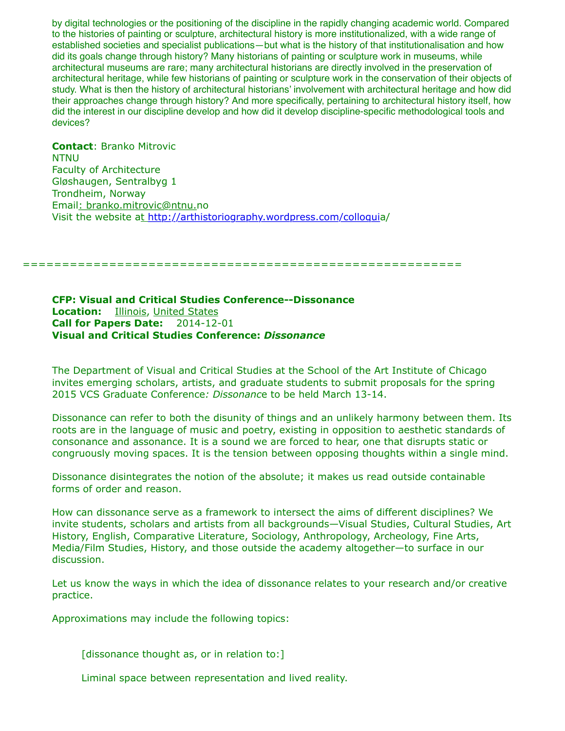by digital technologies or the positioning of the discipline in the rapidly changing academic world. Compared to the histories of painting or sculpture, architectural history is more institutionalized, with a wide range of established societies and specialist publications—but what is the history of that institutionalisation and how did its goals change through history? Many historians of painting or sculpture work in museums, while architectural museums are rare; many architectural historians are directly involved in the preservation of architectural heritage, while few historians of painting or sculpture work in the conservation of their objects of study. What is then the history of architectural historians' involvement with architectural heritage and how did their approaches change through history? And more specifically, pertaining to architectural history itself, how did the interest in our discipline develop and how did it develop discipline-specific methodological tools and devices?

**Contact**: Branko Mitrovic NTNU Faculty of Architecture Gløshaugen, Sentralbyg 1 Trondheim, Norway Email: branko.mitrovic@ntnu.no Visit the website at<http://arthistoriography.wordpress.com/colloqui>a/

========================================================

**CFP: Visual and Critical Studies Conference--Dissonance Location:** Illinois, United States **Call for Papers Date:** 2014-12-01 **Visual and Critical Studies Conference:** *Dissonance*

The Department of Visual and Critical Studies at the School of the Art Institute of Chicago invites emerging scholars, artists, and graduate students to submit proposals for the spring 2015 VCS Graduate Conference*: Dissonanc*e to be held March 13-14.

Dissonance can refer to both the disunity of things and an unlikely harmony between them. Its roots are in the language of music and poetry, existing in opposition to aesthetic standards of consonance and assonance. It is a sound we are forced to hear, one that disrupts static or congruously moving spaces. It is the tension between opposing thoughts within a single mind.

Dissonance disintegrates the notion of the absolute; it makes us read outside containable forms of order and reason.

How can dissonance serve as a framework to intersect the aims of different disciplines? We invite students, scholars and artists from all backgrounds—Visual Studies, Cultural Studies, Art History, English, Comparative Literature, Sociology, Anthropology, Archeology, Fine Arts, Media/Film Studies, History, and those outside the academy altogether—to surface in our discussion.

Let us know the ways in which the idea of dissonance relates to your research and/or creative practice.

Approximations may include the following topics:

[dissonance thought as, or in relation to:]

Liminal space between representation and lived reality.